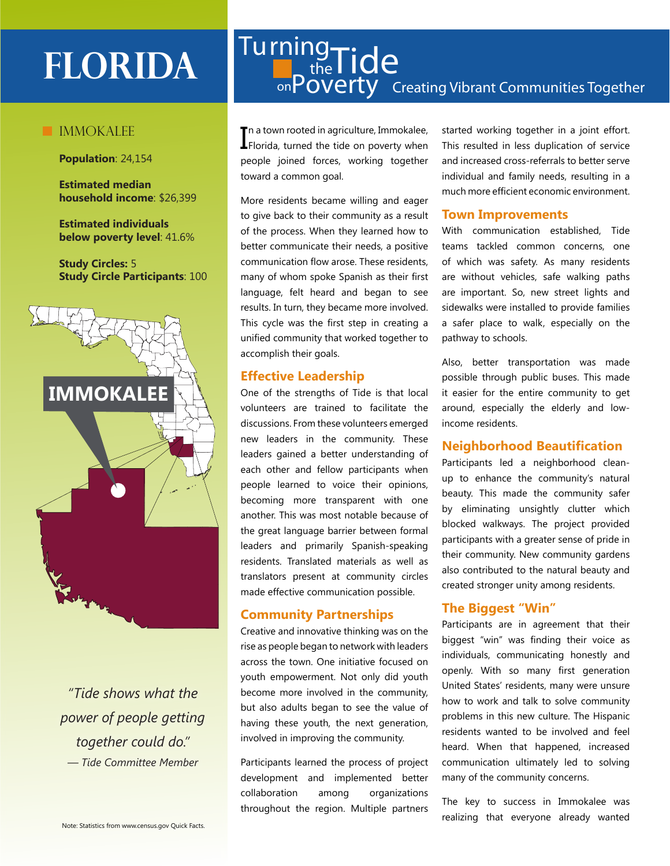# **IMMOKALEE**

**Population**: 24,154

**Estimated median household income**: \$26,399

**Estimated individuals below poverty level**: 41.6%

**Study Circles:** 5 **Study Circle Participants**: 100



*"Tide shows what the power of people getting together could do." — Tide Committee Member*

# on **POVEITY** Creating Vibrant Communities Together FLORIDA<sup>[Turning</sup><sub>D</sub><sub>the</sub>Tide

In a town rooted in agriculture, Immokalee,<br>I Florida, turned the tide on poverty when **T** n a town rooted in agriculture, Immokalee, people joined forces, working together toward a common goal.

More residents became willing and eager to give back to their community as a result of the process. When they learned how to better communicate their needs, a positive communication flow arose. These residents, many of whom spoke Spanish as their first language, felt heard and began to see results. In turn, they became more involved. This cycle was the first step in creating a unified community that worked together to accomplish their goals.

# **Effective Leadership**

One of the strengths of Tide is that local volunteers are trained to facilitate the discussions. From these volunteers emerged new leaders in the community. These leaders gained a better understanding of each other and fellow participants when people learned to voice their opinions, becoming more transparent with one another. This was most notable because of the great language barrier between formal leaders and primarily Spanish-speaking residents. Translated materials as well as translators present at community circles made effective communication possible.

# **Community Partnerships**

Creative and innovative thinking was on the rise as people began to network with leaders across the town. One initiative focused on youth empowerment. Not only did youth become more involved in the community, but also adults began to see the value of having these youth, the next generation, involved in improving the community.

Participants learned the process of project development and implemented better collaboration among organizations throughout the region. Multiple partners started working together in a joint effort. This resulted in less duplication of service and increased cross-referrals to better serve individual and family needs, resulting in a much more efficient economic environment.

#### **Town Improvements**

With communication established, Tide teams tackled common concerns, one of which was safety. As many residents are without vehicles, safe walking paths are important. So, new street lights and sidewalks were installed to provide families a safer place to walk, especially on the pathway to schools.

Also, better transportation was made possible through public buses. This made it easier for the entire community to get around, especially the elderly and lowincome residents.

# **Neighborhood Beautification**

Participants led a neighborhood cleanup to enhance the community's natural beauty. This made the community safer by eliminating unsightly clutter which blocked walkways. The project provided participants with a greater sense of pride in their community. New community gardens also contributed to the natural beauty and created stronger unity among residents.

# **The Biggest "Win"**

Participants are in agreement that their biggest "win" was finding their voice as individuals, communicating honestly and openly. With so many first generation United States' residents, many were unsure how to work and talk to solve community problems in this new culture. The Hispanic residents wanted to be involved and feel heard. When that happened, increased communication ultimately led to solving many of the community concerns.

The key to success in Immokalee was realizing that everyone already wanted